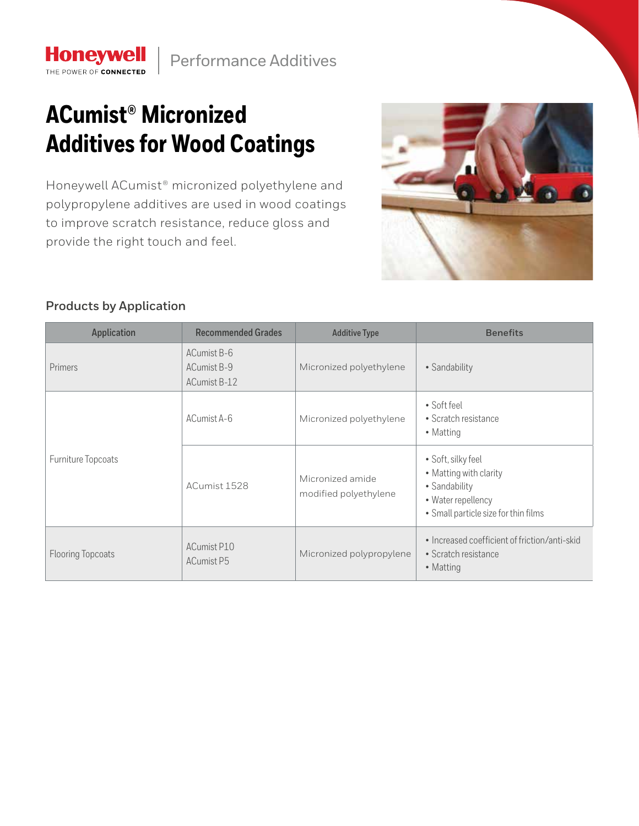

## **ACumist® Micronized Additives for Wood Coatings**

Honeywell ACumist® micronized polyethylene and polypropylene additives are used in wood coatings to improve scratch resistance, reduce gloss and provide the right touch and feel.



## **Products by Application**

**Honeywell** THE POWER OF CONNECTED

| <b>Application</b>       | <b>Recommended Grades</b>                  | <b>Additive Type</b>                      | <b>Benefits</b>                                                                                                             |  |
|--------------------------|--------------------------------------------|-------------------------------------------|-----------------------------------------------------------------------------------------------------------------------------|--|
| Primers                  | ACumist B-6<br>ACumist B-9<br>ACumist B-12 |                                           | • Sandability                                                                                                               |  |
| Furniture Topcoats       | ACumist A-6                                | Micronized polyethylene                   | • Soft feel<br>• Scratch resistance<br>• Matting                                                                            |  |
|                          | ACumist 1528                               | Micronized amide<br>modified polyethylene | • Soft, silky feel<br>• Matting with clarity<br>• Sandability<br>• Water repellency<br>• Small particle size for thin films |  |
| <b>Flooring Topcoats</b> | ACumist P10<br><b>ACumist P5</b>           | Micronized polypropylene                  | • Increased coefficient of friction/anti-skid<br>• Scratch resistance<br>• Matting                                          |  |